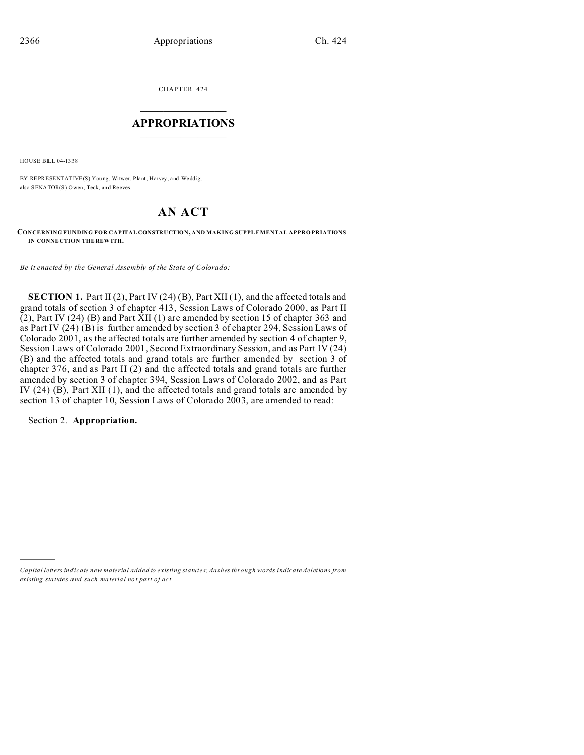CHAPTER 424  $\overline{\phantom{a}}$  , where  $\overline{\phantom{a}}$ 

## **APPROPRIATIONS**  $\_$   $\_$   $\_$   $\_$   $\_$   $\_$   $\_$   $\_$

HOUSE BILL 04-1338

BY REPRESENTATIVE(S) You ng, Witwer, Plant, Harvey, and Wedd ig; also SENATOR(S) Owen, Teck, an d Reeves.

# **AN ACT**

**CONCERNING FUNDING FOR CAPITAL CONSTRUCTION, AND MAKING SUPPL EMENTAL APPRO PRIATIONS IN CONNE CTION THE REW ITH.**

*Be it enacted by the General Assembly of the State of Colorado:*

**SECTION 1.** Part II (2), Part IV (24) (B), Part XII (1), and the affected totals and grand totals of section 3 of chapter 413, Session Laws of Colorado 2000, as Part II (2), Part IV (24) (B) and Part XII (1) are amended by section 15 of chapter 363 and as Part IV (24) (B) is further amended by section 3 of chapter 294, Session Laws of Colorado 2001, as the affected totals are further amended by section 4 of chapter 9, Session Laws of Colorado 2001, Second Extraordinary Session, and as Part IV (24) (B) and the affected totals and grand totals are further amended by section 3 of chapter 376, and as Part II (2) and the affected totals and grand totals are further amended by section 3 of chapter 394, Session Laws of Colorado 2002, and as Part IV (24) (B), Part XII (1), and the affected totals and grand totals are amended by section 13 of chapter 10, Session Laws of Colorado 2003, are amended to read:

Section 2. **Appropriation.**

)))))

*Capital letters indicate new material added to existing statutes; dashes through words indicate deletions from ex isting statute s and such ma teria l no t pa rt of ac t.*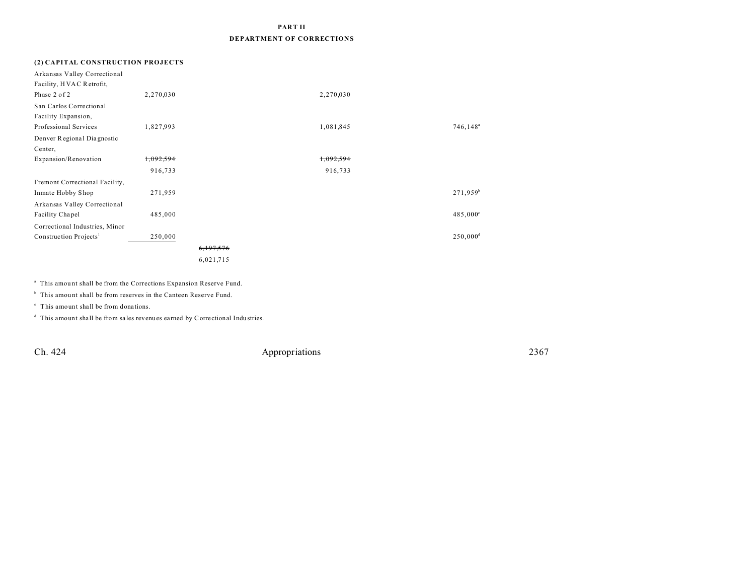## **PART II DEPARTMENT OF CORRECTIONS**

| (2) CAPITAL CONSTRUCTION PROJECTS  |           |           |           |                         |
|------------------------------------|-----------|-----------|-----------|-------------------------|
| Arkansas Valley Correctional       |           |           |           |                         |
| Facility, HVAC Retrofit,           |           |           |           |                         |
| Phase 2 of 2                       | 2,270,030 |           | 2,270,030 |                         |
| San Carlos Correctional            |           |           |           |                         |
| Facility Expansion,                |           |           |           |                         |
| Professional Services              | 1,827,993 |           | 1,081,845 | $746, 148$ <sup>a</sup> |
| Denver Regional Diagnostic         |           |           |           |                         |
| Center,                            |           |           |           |                         |
| Expansion/Renovation               | 1,092,594 |           | 1,092,594 |                         |
|                                    | 916,733   |           | 916,733   |                         |
| Fremont Correctional Facility,     |           |           |           |                         |
| Inmate Hobby Shop                  | 271,959   |           |           | 271,959 <sup>b</sup>    |
| Arkansas Valley Correctional       |           |           |           |                         |
| Facility Chapel                    | 485,000   |           |           | $485,000^{\circ}$       |
| Correctional Industries, Minor     |           |           |           |                         |
| Construction Projects <sup>1</sup> | 250,000   |           |           | $250,000$ <sup>d</sup>  |
|                                    |           | 6,197,576 |           |                         |
|                                    |           | 6,021,715 |           |                         |

<sup>a</sup> This amount shall be from the Corrections Expansion Reserve Fund.

<sup>b</sup> This amount shall be from reserves in the Canteen Reserve Fund.

 $\degree$  This amount shall be from donations.

d This amount shall be from sa les revenues earned by Correctional Indu stries.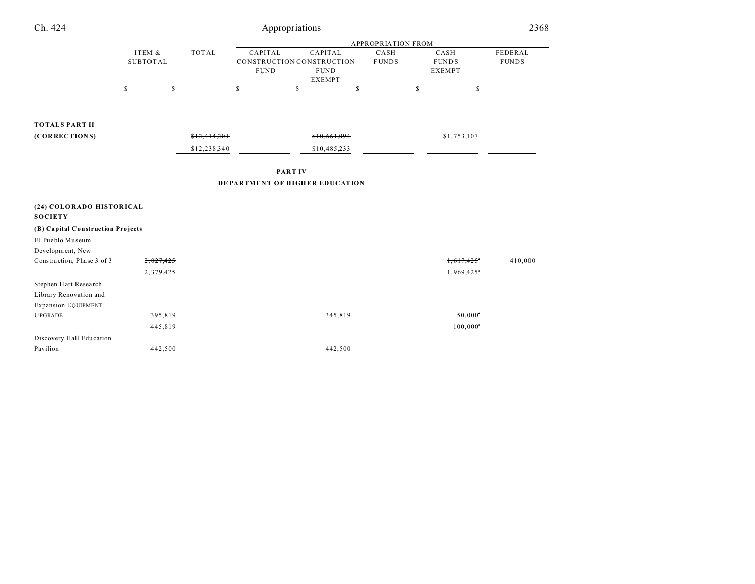| Ch. 424                           | Appropriations               |              |                           |                                                                      |                      |                                       | 2368                    |  |
|-----------------------------------|------------------------------|--------------|---------------------------|----------------------------------------------------------------------|----------------------|---------------------------------------|-------------------------|--|
|                                   |                              |              | <b>APPROPRIATION FROM</b> |                                                                      |                      |                                       |                         |  |
|                                   | ITEM $\&$<br><b>SUBTOTAL</b> | <b>TOTAL</b> | CAPITAL<br><b>FUND</b>    | CAPITAL<br>CONSTRUCTION CONSTRUCTION<br><b>FUND</b><br><b>EXEMPT</b> | CASH<br><b>FUNDS</b> | CASH<br><b>FUNDS</b><br><b>EXEMPT</b> | FEDERAL<br><b>FUNDS</b> |  |
|                                   | $\mathbb{S}$                 | \$           | \$                        | $\mathbb S$                                                          | $\mathbb S$          | \$<br>$\mathbb{S}$                    |                         |  |
|                                   |                              |              |                           |                                                                      |                      |                                       |                         |  |
| <b>TOTALS PART II</b>             |                              |              |                           |                                                                      |                      |                                       |                         |  |
| (CORRECTIONS)                     |                              | \$12,414,201 |                           | \$10,661,094                                                         |                      | \$1,753,107                           |                         |  |
|                                   |                              | \$12,238,340 |                           | \$10,485,233                                                         |                      |                                       |                         |  |
|                                   |                              |              |                           |                                                                      |                      |                                       |                         |  |
|                                   |                              |              |                           | <b>PARTIV</b>                                                        |                      |                                       |                         |  |
|                                   |                              |              |                           | DEPARTMENT OF HIGHER EDUCATION                                       |                      |                                       |                         |  |
| (24) COLORADO HISTORICAL          |                              |              |                           |                                                                      |                      |                                       |                         |  |
| <b>SOCIETY</b>                    |                              |              |                           |                                                                      |                      |                                       |                         |  |
| (B) Capital Construction Projects |                              |              |                           |                                                                      |                      |                                       |                         |  |
| El Pueblo Museum                  |                              |              |                           |                                                                      |                      |                                       |                         |  |
| Development, New                  |                              |              |                           |                                                                      |                      |                                       |                         |  |
| Construction, Phase 3 of 3        | 2,027,425                    |              |                           |                                                                      |                      | 1,617,425                             | 410,000                 |  |
|                                   | 2,379,425                    |              |                           |                                                                      |                      | $1,969,425$ <sup>a</sup>              |                         |  |
| Stephen Hart Research             |                              |              |                           |                                                                      |                      |                                       |                         |  |
| Library Renovation and            |                              |              |                           |                                                                      |                      |                                       |                         |  |
| Expansion EQUIPMENT               |                              |              |                           |                                                                      |                      |                                       |                         |  |
| <b>UPGRADE</b>                    | 395,819                      |              |                           | 345,819                                                              |                      | $50,000$ <sup>*</sup>                 |                         |  |
|                                   | 445,819                      |              |                           |                                                                      |                      | $100,000^a$                           |                         |  |
| Discovery Hall Education          |                              |              |                           |                                                                      |                      |                                       |                         |  |
| Pavilion                          | 442,500                      |              |                           | 442,500                                                              |                      |                                       |                         |  |
|                                   |                              |              |                           |                                                                      |                      |                                       |                         |  |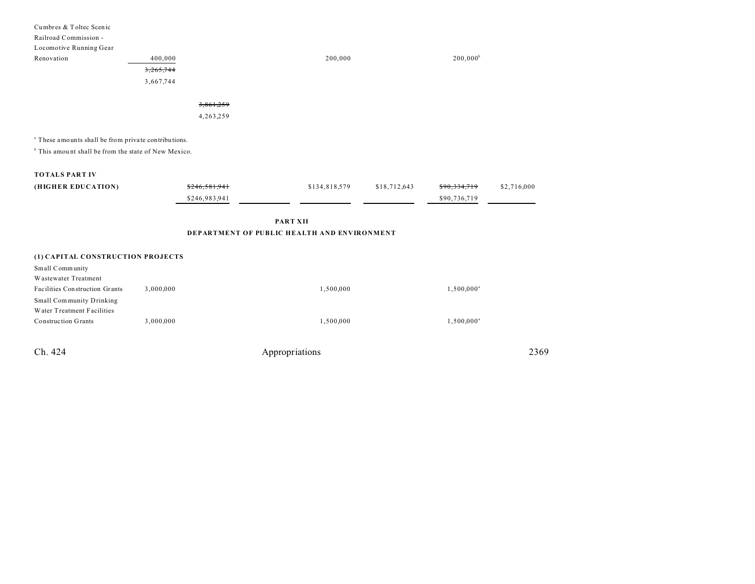| Cumbres & Toltec Scenic                                         |               |                                             |              |                         |             |
|-----------------------------------------------------------------|---------------|---------------------------------------------|--------------|-------------------------|-------------|
| Railroad Commission -                                           |               |                                             |              |                         |             |
| Locomotive Running Gear                                         |               |                                             |              |                         |             |
| Renovation                                                      | 400,000       | 200,000                                     |              | $200,000^b$             |             |
|                                                                 | 3,265,744     |                                             |              |                         |             |
|                                                                 | 3,667,744     |                                             |              |                         |             |
|                                                                 |               |                                             |              |                         |             |
|                                                                 | 3,861,259     |                                             |              |                         |             |
|                                                                 | 4,263,259     |                                             |              |                         |             |
|                                                                 |               |                                             |              |                         |             |
| <sup>a</sup> These amounts shall be from private contributions. |               |                                             |              |                         |             |
| <sup>b</sup> This amount shall be from the state of New Mexico. |               |                                             |              |                         |             |
|                                                                 |               |                                             |              |                         |             |
| <b>TOTALS PART IV</b>                                           |               |                                             |              |                         |             |
| (HIGHER EDUCATION)                                              | \$246,581,941 | \$134,818,579                               | \$18,712,643 | <del>\$90,334,719</del> | \$2,716,000 |
|                                                                 | \$246,983,941 |                                             |              | \$90,736,719            |             |
|                                                                 |               |                                             |              |                         |             |
|                                                                 |               | <b>PART XII</b>                             |              |                         |             |
|                                                                 |               | DEPARTMENT OF PUBLIC HEALTH AND ENVIRONMENT |              |                         |             |
|                                                                 |               |                                             |              |                         |             |
| (1) CAPITAL CONSTRUCTION PROJECTS                               |               |                                             |              |                         |             |
| Small Community                                                 |               |                                             |              |                         |             |
| Wastewater Treatment                                            |               |                                             |              |                         |             |
| Facilities Construction Grants                                  | 3,000,000     | 1,500,000                                   |              | $1,500,000^a$           |             |
| Small Community Drinking                                        |               |                                             |              |                         |             |
| Water Treatment Facilities                                      |               |                                             |              |                         |             |
| <b>Construction Grants</b>                                      | 3,000,000     | 1,500,000                                   |              | $1,500,000^a$           |             |
|                                                                 |               |                                             |              |                         |             |
| Ch. 424                                                         |               | Appropriations                              |              |                         | 2369        |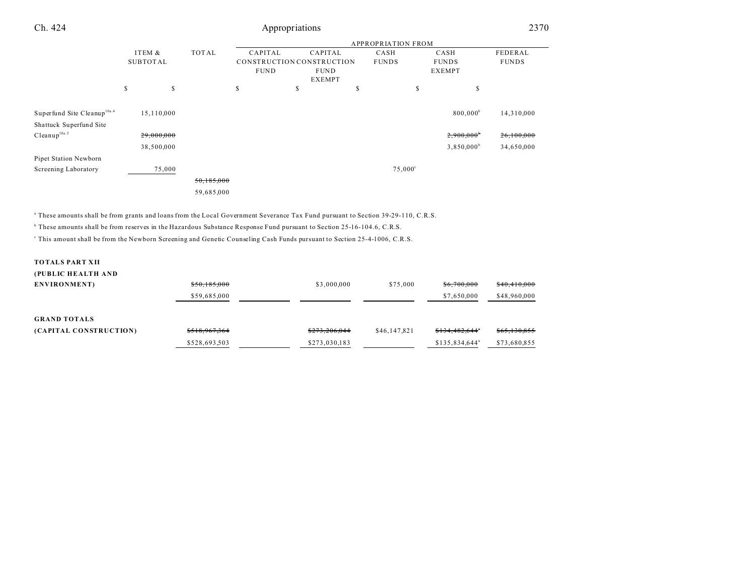| Ch. 424                                             |          | Appropriations |            |             |                              |    |                  | 2370                     |              |
|-----------------------------------------------------|----------|----------------|------------|-------------|------------------------------|----|------------------|--------------------------|--------------|
|                                                     |          |                |            |             |                              |    |                  |                          |              |
|                                                     | ITEM &   |                | TOTAL      | CAPITAL     | CAPITAL                      |    | CASH             | CASH                     | FEDERAL      |
|                                                     | SUBTOTAL |                |            |             | CONSTRUCTION CONSTRUCTION    |    | <b>FUNDS</b>     | <b>FUNDS</b>             | <b>FUNDS</b> |
|                                                     |          |                |            | <b>FUND</b> | <b>FUND</b><br><b>EXEMPT</b> |    |                  | <b>EXEMPT</b>            |              |
|                                                     | \$       | \$             |            | S           | s                            | \$ | \$               | s                        |              |
| Superfund Site Cleanup <sup>10a.4</sup>             |          | 15,110,000     |            |             |                              |    |                  | 800,000 <sup>b</sup>     | 14,310,000   |
| Shattuck Superfund Site<br>Cleanup <sup>10a.5</sup> |          | 29,000,000     |            |             |                              |    |                  | $2,900,000$ <sup>*</sup> | 26,100,000   |
|                                                     |          | 38,500,000     |            |             |                              |    |                  | $3,850,000^{\circ}$      | 34,650,000   |
| Pipet Station Newborn                               |          |                |            |             |                              |    |                  |                          |              |
| Screening Laboratory                                |          | 75,000         |            |             |                              |    | $75,000^{\circ}$ |                          |              |
|                                                     |          |                | 50,185,000 |             |                              |    |                  |                          |              |
|                                                     |          |                | 59,685,000 |             |                              |    |                  |                          |              |

a These amounts shall be from grants and loans from the Local Government Severance Tax Fund pursuant to Section 39-29-110, C.R.S.

b These amounts shall be from reserves in the Hazardous Substance Response Fund pursuant to Section 25-16-104.6, C.R.S.

This amount shall be from the Newborn Screening and Genetic Counseling Cash Funds pursuant to Section 25-4-1006, C.R.S.

## **TOTALS PART XII**

|               | (PUBLIC HEALTH AND     |               |              |                  |              |
|---------------|------------------------|---------------|--------------|------------------|--------------|
| \$50,185,000  | ENVIRONMENT)           | \$3,000,000   | \$75,000     | \$6,700,000      | \$40,410,000 |
| \$59,685,000  |                        |               |              | \$7,650,000      | \$48,960,000 |
|               |                        |               |              |                  |              |
|               | <b>GRAND TOTALS</b>    |               |              |                  |              |
| \$518,967,364 | (CAPITAL CONSTRUCTION) | \$273,206,044 | \$46,147,821 | \$134,482,644*   | \$65,130,855 |
| \$528,693,503 |                        | \$273,030,183 |              | $$135.834.644^a$ | \$73,680,855 |
|               |                        |               |              |                  |              |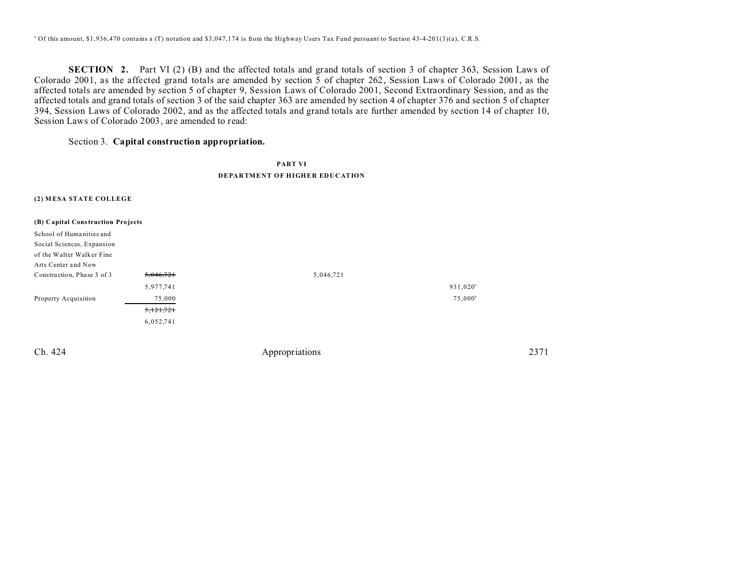<sup>a</sup> Of this amount, \$1,936,470 contains a (T) notation and \$3,047,174 is from the Highway Users Tax Fund pursuant to Section 43-4-201(3)(a), C.R.S.

**SECTION 2.** Part VI (2) (B) and the affected totals and grand totals of section 3 of chapter 363, Session Laws of Colorado 2001, as the affected grand totals are amended by section 5 of chapter 262, Session Laws of Colorado 2001, as the affected totals are amended by section 5 of chapter 9, Session Laws of Colorado 2001, Second Extraordinary Session, and as the affected totals and grand totals of section 3 of the said chapter 363 are amended by section 4 of chapter 376 and section 5 of chapter 394, Session Laws of Colorado 2002, and as the affected totals and grand totals are further amended by section 14 of chapter 10, Session Laws of Colorado 2003, are amended to read:

## Section 3. **Capital construction appropriation.**

## **PART VI DEPARTMENT OF HIGHER EDUCATION**

#### **(2) M ESA STATE COLLEGE**

| (B) Capital Construction Projects |           |           |                   |
|-----------------------------------|-----------|-----------|-------------------|
| School of Humanities and          |           |           |                   |
| Social Sciences, Expansion        |           |           |                   |
| of the Walter Walker Fine         |           |           |                   |
| Arts Center and New               |           |           |                   |
| Construction, Phase 3 of 3        | 5,046,721 | 5,046,721 |                   |
|                                   | 5,977,741 |           | $931,020^{\circ}$ |
| Property Acquisition              | 75,000    |           | $75,000^{\rm a}$  |
|                                   | 5,121,721 |           |                   |
|                                   | 6,052,741 |           |                   |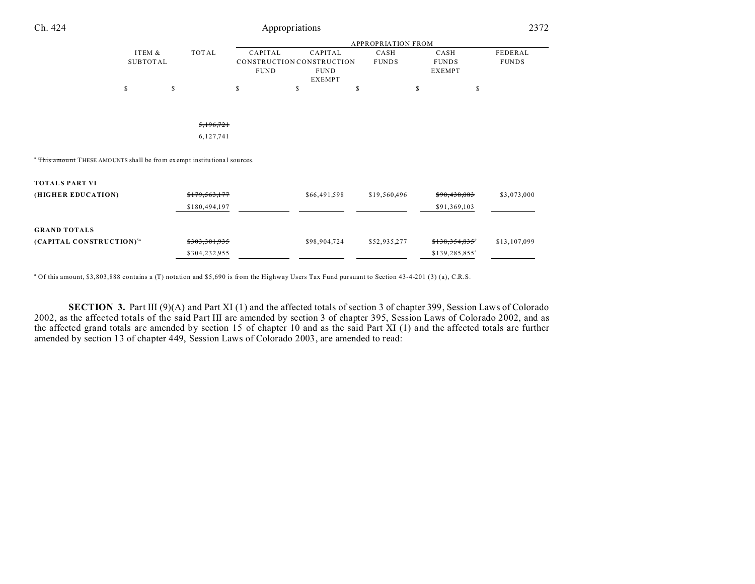| Ch. 424                                                                            |                           |    |               | Appropriations         |                                                                      |   |                           |    | 2372                                  |                         |
|------------------------------------------------------------------------------------|---------------------------|----|---------------|------------------------|----------------------------------------------------------------------|---|---------------------------|----|---------------------------------------|-------------------------|
|                                                                                    |                           |    |               |                        |                                                                      |   | <b>APPROPRIATION FROM</b> |    |                                       |                         |
|                                                                                    | ITEM &<br><b>SUBTOTAL</b> |    | TOTAL         | CAPITAL<br><b>FUND</b> | CAPITAL<br>CONSTRUCTION CONSTRUCTION<br><b>FUND</b><br><b>EXEMPT</b> |   | CASH<br><b>FUNDS</b>      |    | CASH<br><b>FUNDS</b><br><b>EXEMPT</b> | FEDERAL<br><b>FUNDS</b> |
|                                                                                    | \$                        | \$ |               | S                      | \$                                                                   | S |                           | \$ | $\mathbb S$                           |                         |
|                                                                                    |                           |    | 5,196,721     |                        |                                                                      |   |                           |    |                                       |                         |
|                                                                                    |                           |    | 6,127,741     |                        |                                                                      |   |                           |    |                                       |                         |
| <sup>a</sup> This amount THESE AMOUNTS shall be from exempt institutional sources. |                           |    |               |                        |                                                                      |   |                           |    |                                       |                         |
| <b>TOTALS PART VI</b>                                                              |                           |    |               |                        |                                                                      |   |                           |    |                                       |                         |
| (HIGHER EDUCATION)                                                                 |                           |    | \$179,563,177 |                        | \$66,491,598                                                         |   | \$19,560,496              |    | \$90,438,083                          | \$3,073,000             |
|                                                                                    |                           |    | \$180,494,197 |                        |                                                                      |   |                           |    | \$91,369,103                          |                         |
| <b>GRAND TOTALS</b>                                                                |                           |    |               |                        |                                                                      |   |                           |    |                                       |                         |
| (CAPITAL CONSTRUCTION) <sup>5a</sup>                                               |                           |    | \$303,301,935 |                        | \$98,904,724                                                         |   | \$52,935,277              |    | \$138,354,835"                        | \$13,107,099            |
|                                                                                    |                           |    | \$304,232,955 |                        |                                                                      |   |                           |    | \$139,285,855 <sup>a</sup>            |                         |

<sup>a</sup> Of this amount, \$3,803,888 contains a (T) notation and \$5,690 is from the Highway Users Tax Fund pursuant to Section 43-4-201 (3) (a), C.R.S.

**SECTION 3.** Part III (9)(A) and Part XI (1) and the affected totals of section 3 of chapter 399, Session Laws of Colorado 2002, as the affected totals of the said Part III are amended by section 3 of chapter 395, Session Laws of Colorado 2002, and as the affected grand totals are amended by section 15 of chapter 10 and as the said Part XI (1) and the affected totals are further amended by section 13 of chapter 449, Session Laws of Colorado 2003, are amended to read: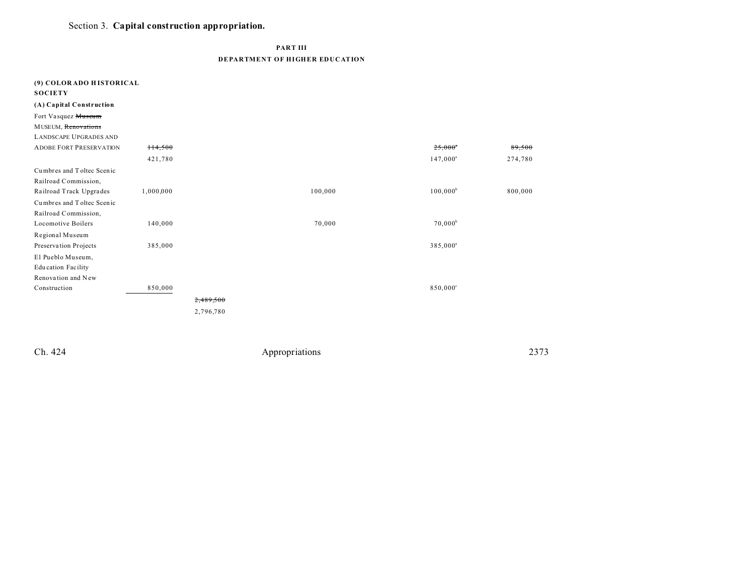# Section 3. Capital construction appropriation.

**PART III** 

**DEPARTMENT OF HIGHER EDUCATION** 

| (9) COLORADO HISTORICAL<br><b>SOCIETY</b> |           |           |         |                      |         |
|-------------------------------------------|-----------|-----------|---------|----------------------|---------|
| (A) Capital Construction                  |           |           |         |                      |         |
| Fort Vasquez Museum                       |           |           |         |                      |         |
| MUSEUM, Renovations                       |           |           |         |                      |         |
| <b>LANDSCAPE UPGRADES AND</b>             |           |           |         |                      |         |
| <b>ADOBE FORT PRESERVATION</b>            | 114,500   |           |         | $25,000^{\circ}$     | 89,500  |
|                                           | 421,780   |           |         | $147,000^{\circ}$    | 274,780 |
| Cumbres and Toltec Scenic                 |           |           |         |                      |         |
| Railroad Commission,                      |           |           |         |                      |         |
| Railroad Track Upgrades                   | 1,000,000 |           | 100,000 | $100,000^{\rm b}$    | 800,000 |
| Cumbres and Toltec Scenic                 |           |           |         |                      |         |
| Railroad Commission,                      |           |           |         |                      |         |
| Locomotive Boilers                        | 140,000   |           | 70,000  | $70,000^{\rm b}$     |         |
| Regional Museum                           |           |           |         |                      |         |
| Preservation Projects                     | 385,000   |           |         | 385,000 <sup>a</sup> |         |
| El Pueblo Museum,                         |           |           |         |                      |         |
| <b>Education Facility</b>                 |           |           |         |                      |         |
| Renovation and New                        |           |           |         |                      |         |
| Construction                              | 850,000   |           |         | 850,000°             |         |
|                                           |           | 2,489,500 |         |                      |         |
|                                           |           | 2,796,780 |         |                      |         |
|                                           |           |           |         |                      |         |

Ch. 424

 ${\large \bf Approxations}$ 

2373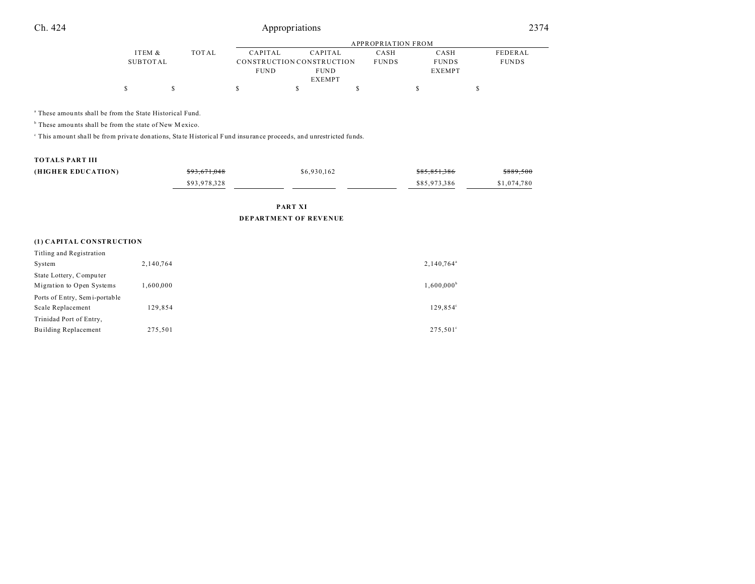# Ch. 424 Appropriations 2374

|          |       |             | APPROPRIATION FROM        |              |               |              |  |  |  |
|----------|-------|-------------|---------------------------|--------------|---------------|--------------|--|--|--|
| ITEM &   | TOTAL | CAPITAL     | CAPITAL                   | CASH         | CASH          | FEDERAL      |  |  |  |
| SUBTOTAL |       |             | CONSTRUCTION CONSTRUCTION | <b>FUNDS</b> | <b>FUNDS</b>  | <b>FUNDS</b> |  |  |  |
|          |       | <b>FUND</b> | <b>FUND</b>               |              | <b>EXEMPT</b> |              |  |  |  |
|          |       |             | <b>EXEMPT</b>             |              |               |              |  |  |  |
|          |       |             |                           |              |               |              |  |  |  |

a These amou nts shall be from the State Historical Fund.

<sup>b</sup> These amounts shall be from the state of New Mexico.

This amount shall be from private donations, State Historical Fund insurance proceeds, and unrestricted funds.

#### **TOTALS PART III**

| (HIGHER EDUCATION) | \$93,671,048 | \$6,930,162 | \$85,851,386 | \$889,500   |
|--------------------|--------------|-------------|--------------|-------------|
|                    | \$93,978,328 |             | \$85,973,386 | \$1,074,780 |
|                    |              |             |              |             |

**PART XI DEPARTMENT OF REVENUE**

### **(1) CAPITAL CONSTRUCTION**

| Titling and Registration      |           |                     |
|-------------------------------|-----------|---------------------|
| System                        | 2,140,764 | $2,140,764^{\circ}$ |
| State Lottery, Computer       |           |                     |
| Migration to Open Systems     | 000,000.  | $1,600,000^{\circ}$ |
| Ports of Entry, Semi-portable |           |                     |
| Scale Replacement             | 129,854   | 129.854°            |
| Trinidad Port of Entry,       |           |                     |
| <b>Building Replacement</b>   | 275,501   | $275.501^{\circ}$   |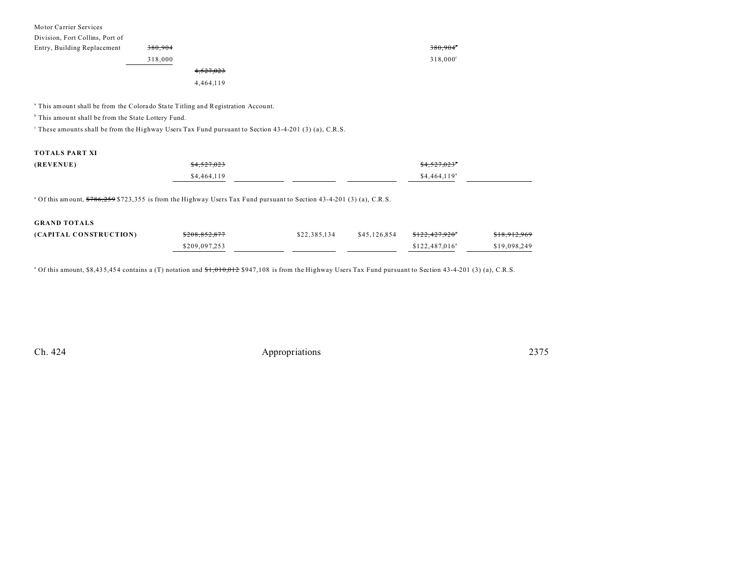| Motor Carrier Services          |         |           |                   |  |
|---------------------------------|---------|-----------|-------------------|--|
| Division, Fort Collins, Port of |         |           |                   |  |
| Entry, Building Replacement     | 380,904 |           | 380,904           |  |
|                                 | 318,000 |           | $318,000^{\circ}$ |  |
|                                 |         | 4,527,023 |                   |  |
|                                 |         | 4,464,119 |                   |  |
|                                 |         |           |                   |  |
|                                 |         |           |                   |  |

<sup>a</sup> This amount shall be from the Colorado State Titling and Registration Account.

<sup>b</sup> This amount shall be from the State Lottery Fund.

These amounts shall be from the Highway Users Tax Fund pursuant to Section 43-4-201 (3) (a), C.R.S.

## **TOTALS PART XI**

| (REVENUE) | \$4,527,023 | \$4,527,023"              |
|-----------|-------------|---------------------------|
|           | \$4,464,119 | $$4,464,119$ <sup>a</sup> |

<sup>a</sup> Of this amount, \$786,259 \$723,355 is from the Highway Users Tax Fund pursuant to Section 43-4-201 (3) (a), C.R.S.

| <b>GRAND TOTALS</b>    |               |              |              |                            |                         |
|------------------------|---------------|--------------|--------------|----------------------------|-------------------------|
| (CAPITAL CONSTRUCTION) | \$208,852,877 | \$22,385,134 | \$45,126,854 | <del>\$122.427.920</del> * | <del>\$18,912,969</del> |
|                        | \$209,097,253 |              |              | $$122,487,016^a$           | \$19,098,249            |

<sup>a</sup> Of this amount, \$8,435,454 contains a (T) notation and <del>\$1,010,012</del> \$947,108 is from the Highway Users Tax Fund pursuant to Section 43-4-201 (3) (a), C.R.S.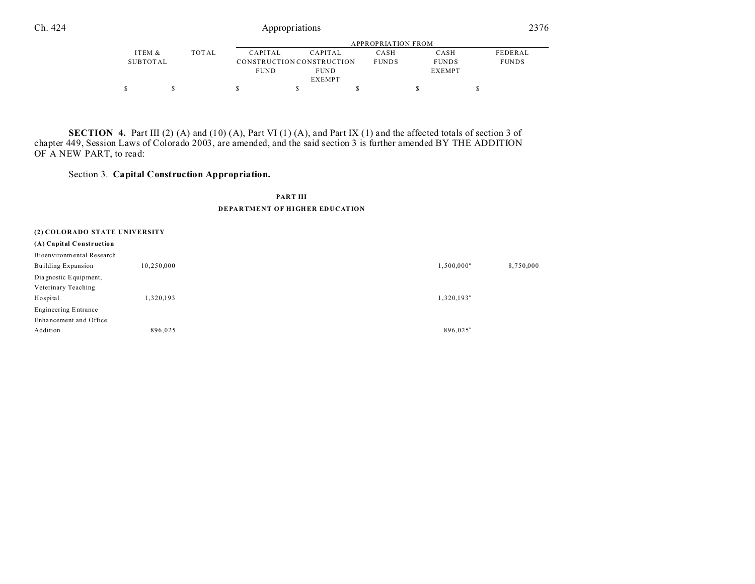$\begin{array}{ccccccccccc} \texttt{\$} & & \texttt{\$} & & \texttt{\$} & & \texttt{\$} & & \texttt{\$} & & \texttt{\$} & & \texttt{\$} & & \texttt{\$} & & \texttt{\$} & & \texttt{\$} & & \texttt{\$} & & \texttt{\$} & & \texttt{\$} & & \texttt{\$} & & \texttt{\$} & & \texttt{\$} & & \texttt{\$} & & \texttt{\$} & & \texttt{\$} & & \texttt{\$} & & \texttt{\$} & & \texttt{\$} & & \texttt{\$} & & \texttt{\$} & & \texttt{\$} & & \texttt{\$} & & \texttt$ 

**SECTION 4.** Part III (2) (A) and (10) (A), Part VI (1) (A), and Part IX (1) and the affected totals of section 3 of chapter 449, Session Laws of Colorado 2003, are amended, and the said section 3 is further amended BY THE ADDITION OF A NEW PART, to read:

## Section 3. **Capital Construction Appropriation.**

### **PART III**

#### **DEPARTMENT OF HIGHER EDUCATION**

| (2) COLORADO STATE UNIVERSITY |            |                      |           |
|-------------------------------|------------|----------------------|-----------|
| (A) Capital Construction      |            |                      |           |
| Bioenvironmental Research     |            |                      |           |
| Building Expansion            | 10,250,000 | $1,500,000^{\circ}$  | 8,750,000 |
| Dia gnostic Equipment,        |            |                      |           |
| Veterinary Teaching           |            |                      |           |
| Hospital                      | 1,320,193  | $1,320,193^{\circ}$  |           |
| <b>Engineering Entrance</b>   |            |                      |           |
| Enhancement and Office        |            |                      |           |
| Addition                      | 896,025    | 896,025 <sup>a</sup> |           |
|                               |            |                      |           |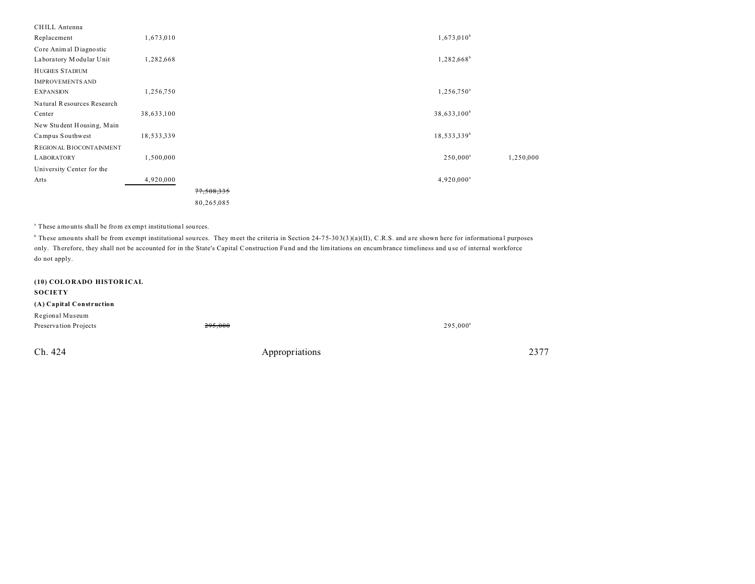| CHILL Antenna              |            |            |                         |           |
|----------------------------|------------|------------|-------------------------|-----------|
| Replacement                | 1,673,010  |            | $1,673,010^{b}$         |           |
| Core Animal Diagnostic     |            |            |                         |           |
| Laboratory Modular Unit    | 1,282,668  |            | $1,282,668^b$           |           |
| <b>HUGHES STADIUM</b>      |            |            |                         |           |
| <b>IMPROVEMENTS AND</b>    |            |            |                         |           |
| <b>EXPANSION</b>           | 1,256,750  |            | $1,256,750^{\circ}$     |           |
| Natural Resources Research |            |            |                         |           |
| Center                     | 38,633,100 |            | 38,633,100 <sup>b</sup> |           |
| New Student Housing, Main  |            |            |                         |           |
| Campus Southwest           | 18,533,339 |            | 18,533,339 <sup>b</sup> |           |
| REGIONAL BIOCONTAINMENT    |            |            |                         |           |
| <b>LABORATORY</b>          | 1,500,000  |            | $250,000^a$             | 1,250,000 |
| University Center for the  |            |            |                         |           |
| Arts                       | 4,920,000  |            | 4,920,000 <sup>a</sup>  |           |
|                            |            | 77,508,335 |                         |           |
|                            |            | 80,265,085 |                         |           |

<sup>a</sup> These amounts shall be from exempt institutional sources.

<sup>b</sup> These amounts shall be from exempt institutional sources. They meet the criteria in Section 24-75-303(3)(a)(II), C.R.S. and are shown here for informational purposes only. Therefore, they shall not be accounted for in the State's Capital Construction Fu nd and the limitations on encumbrance timeliness and u se of internal workforce do not apply.

| (10) COLORADO HISTORICAL<br><b>SOCIETY</b> |                |             |      |
|--------------------------------------------|----------------|-------------|------|
| (A) Capital Construction                   |                |             |      |
| Regional Museum                            |                |             |      |
| Preservation Projects                      | 295.000        | $295,000^a$ |      |
| Ch. 424                                    | Appropriations |             | 2377 |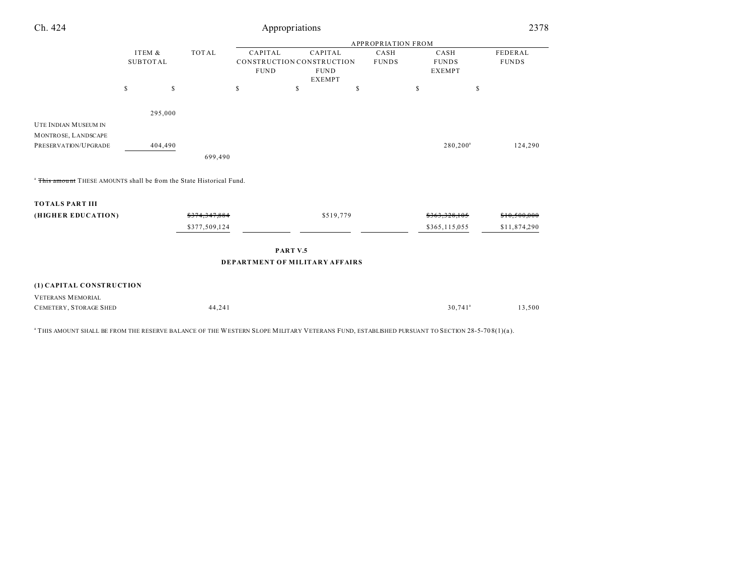| Ch. 424                                                            |                                           | Appropriations |              |                                                                                                                        |           |  |                                       |             |                         |  |
|--------------------------------------------------------------------|-------------------------------------------|----------------|--------------|------------------------------------------------------------------------------------------------------------------------|-----------|--|---------------------------------------|-------------|-------------------------|--|
|                                                                    |                                           |                |              | <b>APPROPRIATION FROM</b>                                                                                              |           |  |                                       |             |                         |  |
|                                                                    | ITEM &<br><b>TOTAL</b><br><b>SUBTOTAL</b> |                |              | CAPITAL<br>CAPITAL<br>CASH<br>CONSTRUCTION CONSTRUCTION<br><b>FUNDS</b><br><b>FUND</b><br><b>FUND</b><br><b>EXEMPT</b> |           |  | CASH<br><b>FUNDS</b><br><b>EXEMPT</b> |             | FEDERAL<br><b>FUNDS</b> |  |
|                                                                    | $\mathbb S$                               | \$             | $\mathbb{S}$ | \$                                                                                                                     | \$        |  | \$                                    | $\mathbb S$ |                         |  |
|                                                                    | 295,000                                   |                |              |                                                                                                                        |           |  |                                       |             |                         |  |
| UTE INDIAN MUSEUM IN                                               |                                           |                |              |                                                                                                                        |           |  |                                       |             |                         |  |
| MONTROSE, LANDSCAPE                                                |                                           |                |              |                                                                                                                        |           |  |                                       |             |                         |  |
| PRESERVATION/UPGRADE                                               |                                           | 404,490        |              |                                                                                                                        |           |  | $280, 200^a$                          |             | 124,290                 |  |
|                                                                    |                                           | 699,490        |              |                                                                                                                        |           |  |                                       |             |                         |  |
| This amount THESE AMOUNTS shall be from the State Historical Fund. |                                           |                |              |                                                                                                                        |           |  |                                       |             |                         |  |
| <b>TOTALS PART III</b>                                             |                                           |                |              |                                                                                                                        |           |  |                                       |             |                         |  |
| (HIGHER EDUCATION)                                                 |                                           | \$374,347,884  |              |                                                                                                                        | \$519,779 |  | \$363,328,105                         |             | \$10,500,000            |  |
|                                                                    |                                           | \$377,509,124  |              |                                                                                                                        |           |  | \$365,115,055                         |             | \$11,874,290            |  |
|                                                                    |                                           |                |              | PART V.5                                                                                                               |           |  |                                       |             |                         |  |
|                                                                    |                                           |                |              | <b>DEPARTMENT OF MILITARY AFFAIRS</b>                                                                                  |           |  |                                       |             |                         |  |
| (1) CAPITAL CONSTRUCTION                                           |                                           |                |              |                                                                                                                        |           |  |                                       |             |                         |  |
| <b>VETERANS MEMORIAL</b>                                           |                                           |                |              |                                                                                                                        |           |  |                                       |             |                         |  |
| CEMETERY, STORAGE SHED                                             |                                           |                | 44,241       |                                                                                                                        |           |  | $30,741$ <sup>a</sup>                 |             | 13,500                  |  |
|                                                                    |                                           |                |              |                                                                                                                        |           |  |                                       |             |                         |  |

 $^{\rm a}$  THIS AMOUNT SHALL BE FROM THE RESERVE BALANCE OF THE WESTERN SLOPE MILITARY VETERANS FUND, ESTABLISHED PURSUANT TO SECTION 28-5-70 8(1)(a).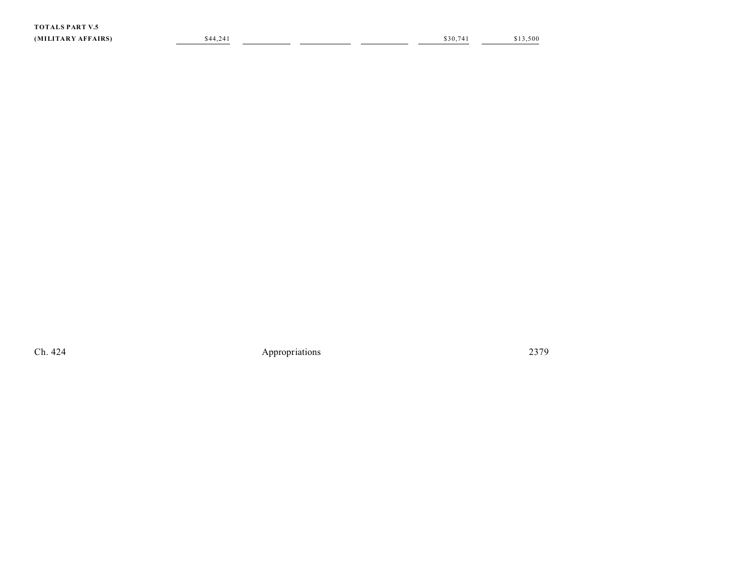| <b>LS PART V.5</b><br>TOTAL |          |  |         |          |
|-----------------------------|----------|--|---------|----------|
| (MILITARY AFFAIRS)          | \$44,241 |  | \$30.74 | \$13,500 |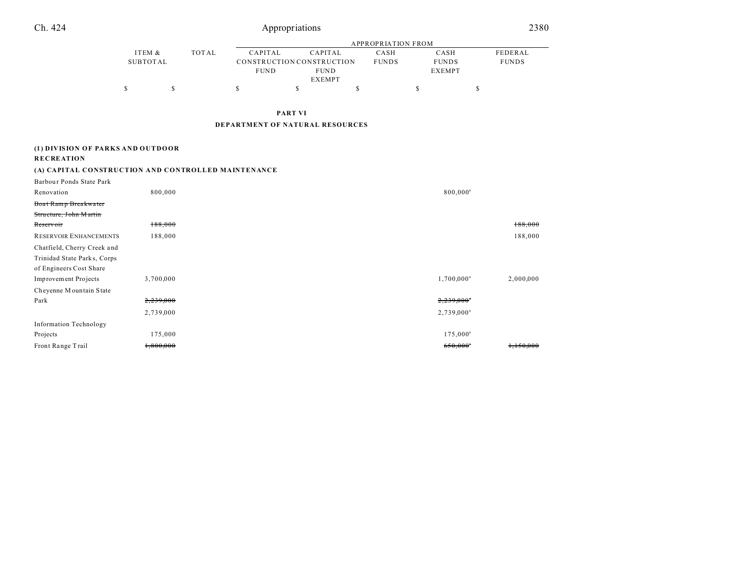| Ch. 424                                                                               |                           | 2380<br>Appropriations    |                                 |                                                                      |              |                      |                                       |                        |                         |  |  |
|---------------------------------------------------------------------------------------|---------------------------|---------------------------|---------------------------------|----------------------------------------------------------------------|--------------|----------------------|---------------------------------------|------------------------|-------------------------|--|--|
|                                                                                       |                           | <b>APPROPRIATION FROM</b> |                                 |                                                                      |              |                      |                                       |                        |                         |  |  |
|                                                                                       | ITEM &<br><b>SUBTOTAL</b> | <b>TOTAL</b>              | CAPITAL<br><b>FUND</b>          | CAPITAL<br>CONSTRUCTION CONSTRUCTION<br><b>FUND</b><br><b>EXEMPT</b> |              | CASH<br><b>FUNDS</b> | CASH<br><b>FUNDS</b><br><b>EXEMPT</b> |                        | FEDERAL<br><b>FUNDS</b> |  |  |
|                                                                                       | \$<br>\$                  |                           | \$                              | $\mathbb S$                                                          | $\mathbb{S}$ |                      | \$                                    | \$                     |                         |  |  |
|                                                                                       |                           |                           |                                 | <b>PART VI</b>                                                       |              |                      |                                       |                        |                         |  |  |
|                                                                                       |                           |                           | DEPARTMENT OF NATURAL RESOURCES |                                                                      |              |                      |                                       |                        |                         |  |  |
| (1) DIVISION OF PARKS AND OUTDOOR                                                     |                           |                           |                                 |                                                                      |              |                      |                                       |                        |                         |  |  |
| <b>RECREATION</b>                                                                     |                           |                           |                                 |                                                                      |              |                      |                                       |                        |                         |  |  |
| (A) CAPITAL CONSTRUCTION AND CONTROLLED MAINTENANCE                                   |                           |                           |                                 |                                                                      |              |                      |                                       |                        |                         |  |  |
| Barbour Ponds State Park                                                              |                           |                           |                                 |                                                                      |              |                      |                                       |                        |                         |  |  |
| Renovation                                                                            | 800,000                   |                           |                                 |                                                                      |              |                      |                                       | 800,000 <sup>a</sup>   |                         |  |  |
| Boat Ramp Breakwater<br>Structure, John Martin                                        |                           |                           |                                 |                                                                      |              |                      |                                       |                        |                         |  |  |
| Reservoir                                                                             | 188,000                   |                           |                                 |                                                                      |              |                      |                                       |                        | 188,000                 |  |  |
| <b>RESERVOIR ENHANCEMENTS</b>                                                         | 188,000                   |                           |                                 |                                                                      |              |                      |                                       |                        | 188,000                 |  |  |
| Chatfield, Cherry Creek and<br>Trinidad State Parks, Corps<br>of Engineers Cost Share |                           |                           |                                 |                                                                      |              |                      |                                       |                        |                         |  |  |
| Improvement Projects                                                                  | 3,700,000                 |                           |                                 |                                                                      |              |                      |                                       | $1,700,000^a$          | 2,000,000               |  |  |
| Cheyenne Mountain State                                                               |                           |                           |                                 |                                                                      |              |                      |                                       |                        |                         |  |  |
| Park                                                                                  | 2,239,000                 |                           |                                 |                                                                      |              |                      |                                       | 2,239,000*             |                         |  |  |
|                                                                                       | 2,739,000                 |                           |                                 |                                                                      |              |                      |                                       | $2,739,000^a$          |                         |  |  |
| <b>Information Technology</b>                                                         |                           |                           |                                 |                                                                      |              |                      |                                       |                        |                         |  |  |
| Projects                                                                              | 175,000                   |                           |                                 |                                                                      |              |                      |                                       | $175,000^a$            |                         |  |  |
| Front Range Trail                                                                     | 1,800,000                 |                           |                                 |                                                                      |              |                      |                                       | $650,000$ <sup>*</sup> | 1,150,000               |  |  |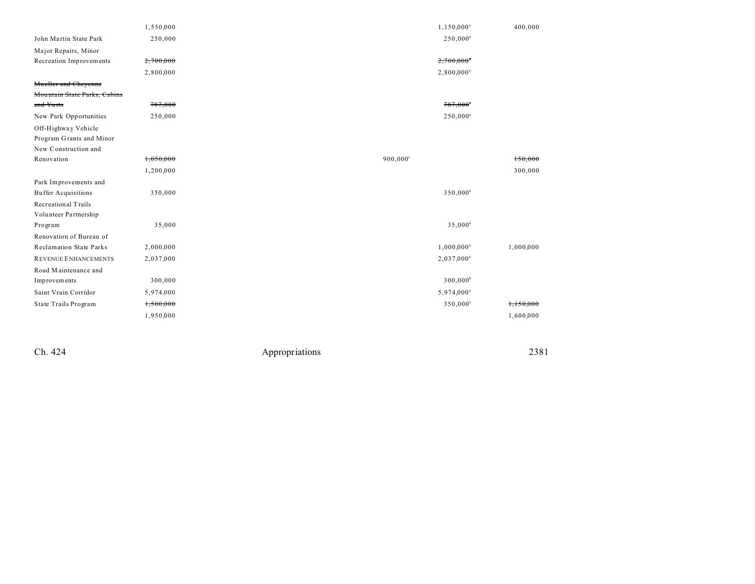|                                | 1,550,000 | $1,150,000^a$            | 400,000   |
|--------------------------------|-----------|--------------------------|-----------|
| John Martin State Park         | 250,000   | $250,000^a$              |           |
| Major Repairs, Minor           |           |                          |           |
| Recreation Improvements        | 2,700,000 | $2,700,000$ <sup>*</sup> |           |
|                                | 2,800,000 | $2,800,000^a$            |           |
| Mueller and Cheyenne           |           |                          |           |
| Mountain State Parks, Cabins   |           |                          |           |
| and Yurts                      | 787,000   | $787,000$ <sup>*</sup>   |           |
| New Park Opportunities         | 250,000   | $250,000^a$              |           |
| Off-Highway Vehicle            |           |                          |           |
| Program Grants and Minor       |           |                          |           |
| New Construction and           |           |                          |           |
| Renovation                     | 1,050,000 | 900,000°                 | 150,000   |
|                                | 1,200,000 |                          | 300,000   |
| Park Improvements and          |           |                          |           |
| <b>Buffer Acquisitions</b>     | 350,000   | 350,000 <sup>a</sup>     |           |
| Recreational Trails            |           |                          |           |
| Volunteer Partnership          |           |                          |           |
| Program                        | 35,000    | $35,000^a$               |           |
| Renovation of Bureau of        |           |                          |           |
| <b>Reclamation State Parks</b> | 2,000,000 | $1,000,000^a$            | 1,000,000 |
| <b>REVENUE ENHANCEMENTS</b>    | 2,037,000 | $2,037,000^a$            |           |
| Road Maintenance and           |           |                          |           |
| Improvements                   | 300,000   | 300,000 <sup>b</sup>     |           |
| Saint Vrain Corridor           | 5,974,000 | 5,974,000 <sup>a</sup>   |           |
| State Trails Program           | 1,500,000 | $350,000^a$              | 1,150,000 |
|                                | 1,950,000 |                          | 1,600,000 |

Ch. 424

Appropriations

2381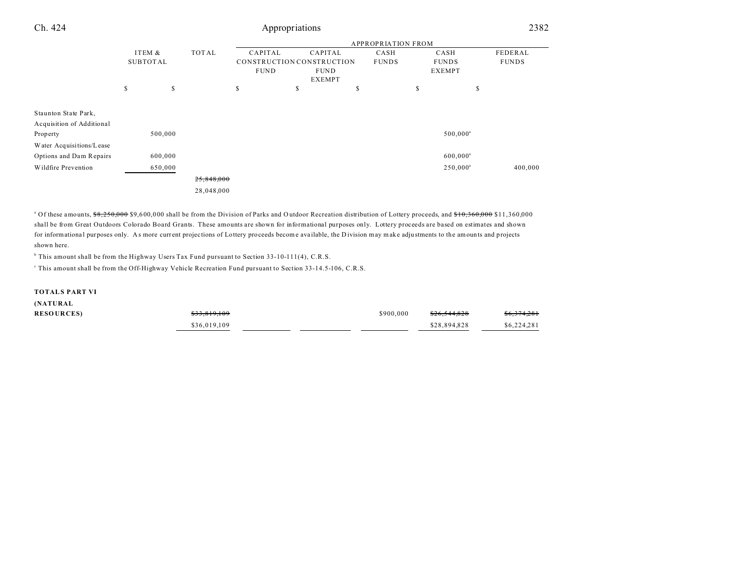| Ch. 424                   | Appropriations |                           |              |             |                           |                              |              |    |                   | 2382         |  |
|---------------------------|----------------|---------------------------|--------------|-------------|---------------------------|------------------------------|--------------|----|-------------------|--------------|--|
|                           |                | <b>APPROPRIATION FROM</b> |              |             |                           |                              |              |    |                   |              |  |
|                           | ITEM &         |                           | <b>TOTAL</b> | CAPITAL     | CAPITAL                   |                              | CASH         |    | CASH              | FEDERAL      |  |
|                           | SUBTOTAL       |                           |              |             | CONSTRUCTION CONSTRUCTION |                              | <b>FUNDS</b> |    | <b>FUNDS</b>      | <b>FUNDS</b> |  |
|                           |                |                           |              | <b>FUND</b> |                           | <b>FUND</b><br><b>EXEMPT</b> |              |    | <b>EXEMPT</b>     |              |  |
|                           | \$             | \$                        |              | \$          | S                         | S                            |              | \$ |                   | \$           |  |
| Staunton State Park,      |                |                           |              |             |                           |                              |              |    |                   |              |  |
| Acquisition of Additional |                |                           |              |             |                           |                              |              |    |                   |              |  |
| Property                  |                | 500,000                   |              |             |                           |                              |              |    | $500,000^{\circ}$ |              |  |
| Water Acquisitions/Lease  |                |                           |              |             |                           |                              |              |    |                   |              |  |
| Options and Dam Repairs   |                | 600,000                   |              |             |                           |                              |              |    | $600,000^a$       |              |  |
| Wildfire Prevention       |                | 650,000                   |              |             |                           |                              |              |    | $250,000^a$       | 400,000      |  |
|                           |                |                           | 25,848,000   |             |                           |                              |              |    |                   |              |  |
|                           |                |                           | 28,048,000   |             |                           |                              |              |    |                   |              |  |

<sup>a</sup> Of these amounts, \$8,250,000 \$9,600,000 shall be from the Division of Parks and Outdoor Recreation distribution of Lottery proceeds, and <del>\$10,360,000</del> \$11,360,000 shall be from Great Outdoors Colorado Board Grants. These amounts are shown for informational purposes only. Lottery proceeds are based on estimates and shown for informational purposes only. As more current projections of Lottery proceeds become available, the Division may make adjustments to the amounts and projects shown here.

<sup>b</sup> This amount shall be from the Highway Users Tax Fund pursuant to Section 33-10-111(4), C.R.S.

This amount shall be from the Off-Highway Vehicle Recreation Fund pursuant to Section 33-14.5-106, C.R.S.

#### **TOTALS PART VI**

**(NATURAL**

| ,                 |              |           |              |             |
|-------------------|--------------|-----------|--------------|-------------|
| <b>RESOURCES)</b> | \$33,819,109 | \$900,000 | \$26,544,828 | \$6,374,281 |
|                   | \$36,019,109 |           | \$28,894,828 | \$6,224,281 |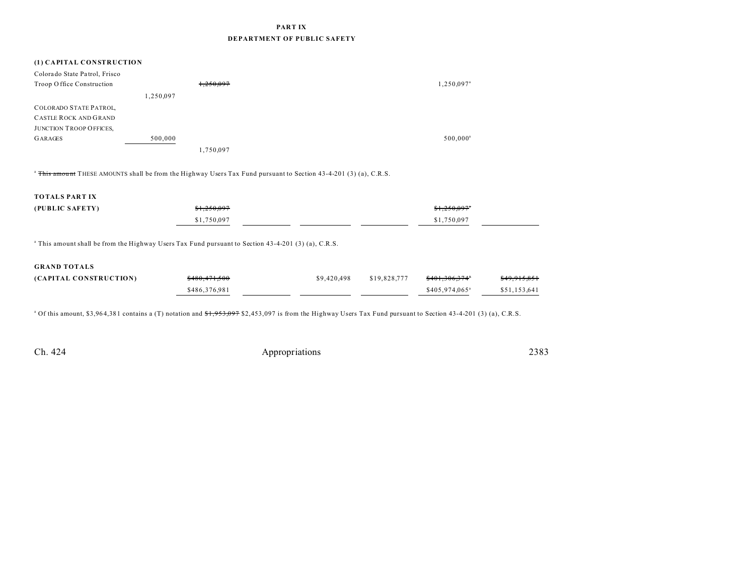## PART IX DEPARTMENT OF PUBLIC SAFETY

### (1) CAPITAL CONSTRUCTION

| Colorado State Patrol, Frisco  |           |           |                        |
|--------------------------------|-----------|-----------|------------------------|
| Troop Office Construction      |           | 1,250,097 | 1,250,097 <sup>a</sup> |
|                                | 1,250,097 |           |                        |
| <b>COLORADO STATE PATROL</b>   |           |           |                        |
| <b>CASTLE ROCK AND GRAND</b>   |           |           |                        |
| <b>JUNCTION TROOP OFFICES,</b> |           |           |                        |
| <b>GARAGES</b>                 | 500,000   |           | $500,000^{\circ}$      |
|                                |           | 1,750,097 |                        |

<sup>a</sup> This amount THESE AMOUNTS shall be from the Highway Users Tax Fund pursuant to Section 43-4-201 (3) (a), C.R.S.

### **TOTALS PART IX**

| (PUBLIC SAFETY) | \$1,250,097 | \$1,250,097" |
|-----------------|-------------|--------------|
|                 | \$1,750,097 | \$1,750,097  |

<sup>a</sup> This amount shall be from the Highway Users Tax Fund pursuant to Section 43-4-201 (3) (a), C.R.S.

#### **GRAND TOTALS**

| (CAPITAL CONSTRUCTION) | \$480,471,500 | \$9,420,498 | \$19,828,777 | <del>\$401.306.374</del> °  | \$49,915,851 |
|------------------------|---------------|-------------|--------------|-----------------------------|--------------|
|                        | \$486,376,981 |             |              | $$405.974.065$ <sup>a</sup> | \$51,153,641 |

<sup>a</sup> Of this amount, \$3,964,381 contains a (T) notation and \$1,953,097 \$2,453,097 is from the Highway Users Tax Fund pursuant to Section 43-4-201 (3) (a), C.R.S.

Ch. 424

Appropriations

2383